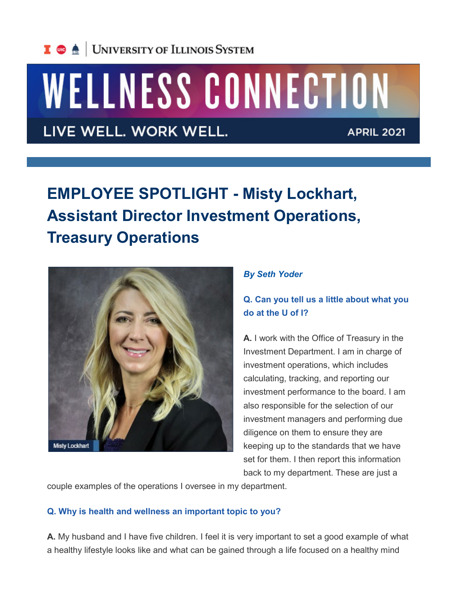# WELLNESS CONNECTION

LIVE WELL. WORK WELL.

**APRIL 2021** 

# **EMPLOYEE SPOTLIGHT - Misty Lockhart, Assistant Director Investment Operations, Treasury Operations**



#### *By Seth Yoder*

## **Q. Can you tell us a little about what you do at the U of I?**

**A.** I work with the Office of Treasury in the Investment Department. I am in charge of investment operations, which includes calculating, tracking, and reporting our investment performance to the board. I am also responsible for the selection of our investment managers and performing due diligence on them to ensure they are keeping up to the standards that we have set for them. I then report this information back to my department. These are just a

couple examples of the operations I oversee in my department.

#### **Q. Why is health and wellness an important topic to you?**

**A.** My husband and I have five children. I feel it is very important to set a good example of what a healthy lifestyle looks like and what can be gained through a life focused on a healthy mind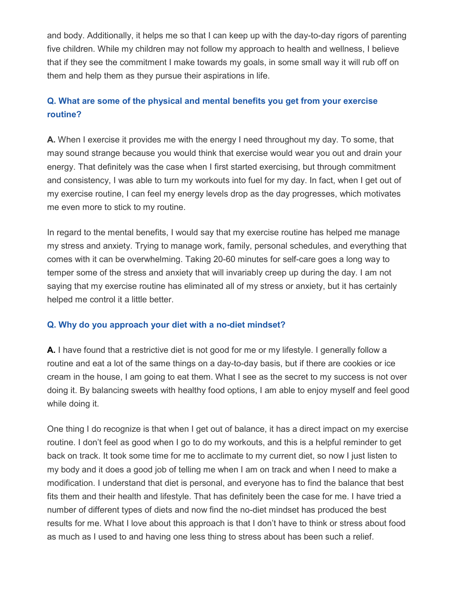and body. Additionally, it helps me so that I can keep up with the day-to-day rigors of parenting five children. While my children may not follow my approach to health and wellness, I believe that if they see the commitment I make towards my goals, in some small way it will rub off on them and help them as they pursue their aspirations in life.

### **Q. What are some of the physical and mental benefits you get from your exercise routine?**

**A.** When I exercise it provides me with the energy I need throughout my day. To some, that may sound strange because you would think that exercise would wear you out and drain your energy. That definitely was the case when I first started exercising, but through commitment and consistency, I was able to turn my workouts into fuel for my day. In fact, when I get out of my exercise routine, I can feel my energy levels drop as the day progresses, which motivates me even more to stick to my routine.

In regard to the mental benefits, I would say that my exercise routine has helped me manage my stress and anxiety. Trying to manage work, family, personal schedules, and everything that comes with it can be overwhelming. Taking 20-60 minutes for self-care goes a long way to temper some of the stress and anxiety that will invariably creep up during the day. I am not saying that my exercise routine has eliminated all of my stress or anxiety, but it has certainly helped me control it a little better.

#### **Q. Why do you approach your diet with a no-diet mindset?**

**A.** I have found that a restrictive diet is not good for me or my lifestyle. I generally follow a routine and eat a lot of the same things on a day-to-day basis, but if there are cookies or ice cream in the house, I am going to eat them. What I see as the secret to my success is not over doing it. By balancing sweets with healthy food options, I am able to enjoy myself and feel good while doing it.

One thing I do recognize is that when I get out of balance, it has a direct impact on my exercise routine. I don't feel as good when I go to do my workouts, and this is a helpful reminder to get back on track. It took some time for me to acclimate to my current diet, so now I just listen to my body and it does a good job of telling me when I am on track and when I need to make a modification. I understand that diet is personal, and everyone has to find the balance that best fits them and their health and lifestyle. That has definitely been the case for me. I have tried a number of different types of diets and now find the no-diet mindset has produced the best results for me. What I love about this approach is that I don't have to think or stress about food as much as I used to and having one less thing to stress about has been such a relief.